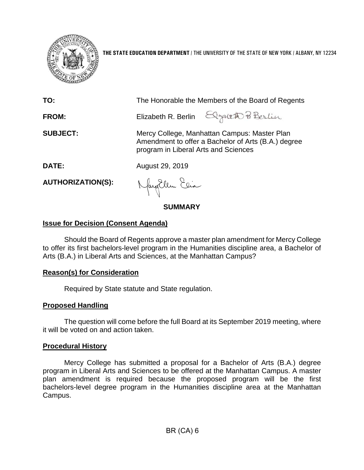

**THE STATE EDUCATION DEPARTMENT** / THE UNIVERSITY OF THE STATE OF NEW YORK / ALBANY, NY 12234

| TO:                      | The Honorable the Members of the Board of Regents                                                                                           |
|--------------------------|---------------------------------------------------------------------------------------------------------------------------------------------|
| FROM:                    | Elizabeth R. Berlin Elgebeth Pi Berlin                                                                                                      |
| <b>SUBJECT:</b>          | Mercy College, Manhattan Campus: Master Plan<br>Amendment to offer a Bachelor of Arts (B.A.) degree<br>program in Liberal Arts and Sciences |
| <b>DATE:</b>             | August 29, 2019                                                                                                                             |
| <b>AUTHORIZATION(S):</b> | Naughlem Eeia                                                                                                                               |

**SUMMARY**

## **Issue for Decision (Consent Agenda)**

Should the Board of Regents approve a master plan amendment for Mercy College to offer its first bachelors-level program in the Humanities discipline area, a Bachelor of Arts (B.A.) in Liberal Arts and Sciences, at the Manhattan Campus?

## **Reason(s) for Consideration**

Required by State statute and State regulation.

# **Proposed Handling**

The question will come before the full Board at its September 2019 meeting, where it will be voted on and action taken.

## **Procedural History**

Mercy College has submitted a proposal for a Bachelor of Arts (B.A.) degree program in Liberal Arts and Sciences to be offered at the Manhattan Campus. A master plan amendment is required because the proposed program will be the first bachelors-level degree program in the Humanities discipline area at the Manhattan Campus.